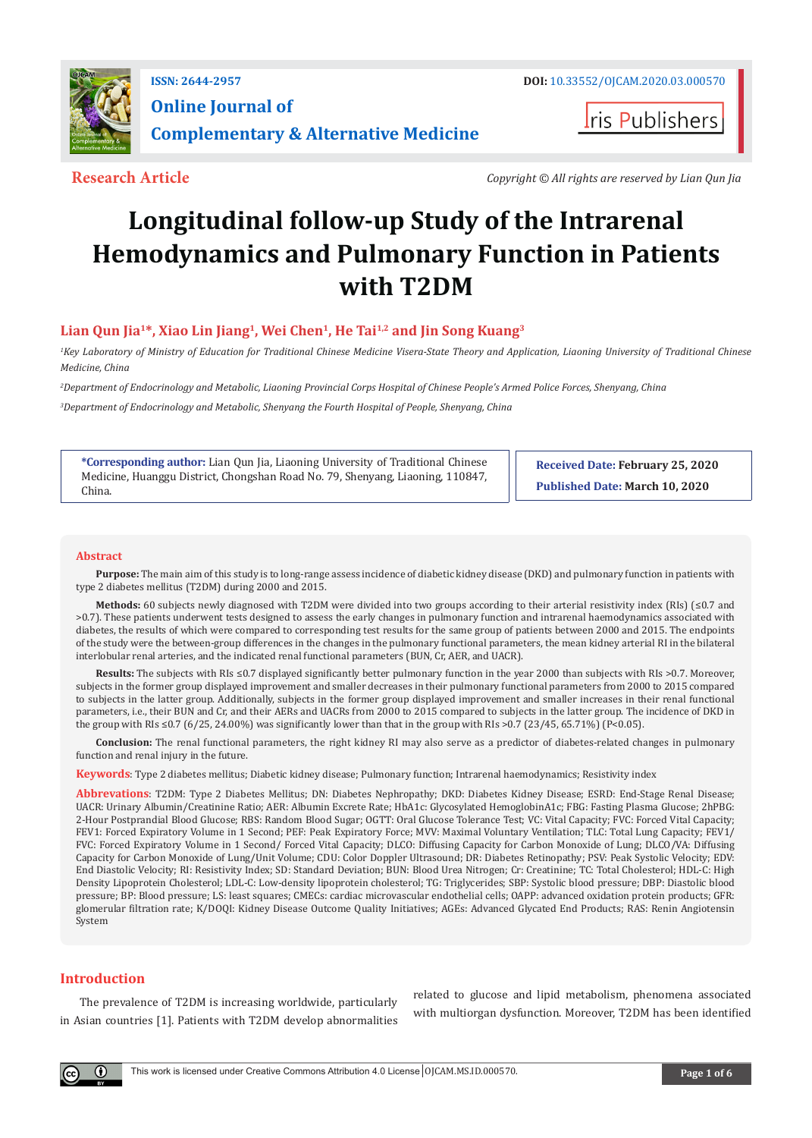

**I**ris Publishers

**Research Article** *Copyright © All rights are reserved by Lian Qun Jia*

# **Longitudinal follow-up Study of the Intrarenal Hemodynamics and Pulmonary Function in Patients with T2DM**

# Lian Qun Jia<sup>1\*</sup>, Xiao Lin Jiang<sup>1</sup>, Wei Chen<sup>1</sup>, He Tai<sup>1,2</sup> and Jin Song Kuang<sup>3</sup>

*1 Key Laboratory of Ministry of Education for Traditional Chinese Medicine Visera-State Theory and Application, Liaoning University of Traditional Chinese Medicine, China*

*2 Department of Endocrinology and Metabolic, Liaoning Provincial Corps Hospital of Chinese People's Armed Police Forces, Shenyang, China*

*3 Department of Endocrinology and Metabolic, Shenyang the Fourth Hospital of People, Shenyang, China*

**\*Corresponding author:** Lian Qun Jia, Liaoning University of Traditional Chinese Medicine, Huanggu District, Chongshan Road No. 79, Shenyang, Liaoning, 110847, China.

**Received Date: February 25, 2020 Published Date: March 10, 2020**

# **Abstract**

**Purpose:** The main aim of this study is to long-range assess incidence of diabetic kidney disease (DKD) and pulmonary function in patients with type 2 diabetes mellitus (T2DM) during 2000 and 2015.

**Methods:** 60 subjects newly diagnosed with T2DM were divided into two groups according to their arterial resistivity index (RIs) (≤0.7 and >0.7). These patients underwent tests designed to assess the early changes in pulmonary function and intrarenal haemodynamics associated with diabetes, the results of which were compared to corresponding test results for the same group of patients between 2000 and 2015. The endpoints of the study were the between-group differences in the changes in the pulmonary functional parameters, the mean kidney arterial RI in the bilateral interlobular renal arteries, and the indicated renal functional parameters (BUN, Cr, AER, and UACR).

**Results:** The subjects with RIs ≤0.7 displayed significantly better pulmonary function in the year 2000 than subjects with RIs >0.7. Moreover, subjects in the former group displayed improvement and smaller decreases in their pulmonary functional parameters from 2000 to 2015 compared to subjects in the latter group. Additionally, subjects in the former group displayed improvement and smaller increases in their renal functional parameters, i.e., their BUN and Cr, and their AERs and UACRs from 2000 to 2015 compared to subjects in the latter group. The incidence of DKD in the group with RIs ≤0.7 (6/25, 24.00%) was significantly lower than that in the group with RIs >0.7 (23/45, 65.71%) (P<0.05).

**Conclusion:** The renal functional parameters, the right kidney RI may also serve as a predictor of diabetes-related changes in pulmonary function and renal injury in the future.

**Keywords**: Type 2 diabetes mellitus; Diabetic kidney disease; Pulmonary function; Intrarenal haemodynamics; Resistivity index

**Abbrevations**: T2DM: Type 2 Diabetes Mellitus; DN: Diabetes Nephropathy; DKD: Diabetes Kidney Disease; ESRD: End-Stage Renal Disease; UACR: Urinary Albumin/Creatinine Ratio; AER: Albumin Excrete Rate; HbA1c: Glycosylated HemoglobinA1c; FBG: Fasting Plasma Glucose; 2hPBG: 2-Hour Postprandial Blood Glucose; RBS: Random Blood Sugar; OGTT: Oral Glucose Tolerance Test; VC: Vital Capacity; FVC: Forced Vital Capacity; FEV1: Forced Expiratory Volume in 1 Second; PEF: Peak Expiratory Force; MVV: Maximal Voluntary Ventilation; TLC: Total Lung Capacity; FEV1/ FVC: Forced Expiratory Volume in 1 Second/ Forced Vital Capacity; DLCO: Diffusing Capacity for Carbon Monoxide of Lung; DLCO/VA: Diffusing Capacity for Carbon Monoxide of Lung/Unit Volume; CDU: Color Doppler Ultrasound; DR: Diabetes Retinopathy; PSV: Peak Systolic Velocity; EDV: End Diastolic Velocity; RI: Resistivity Index; SD: Standard Deviation; BUN: Blood Urea Nitrogen; Cr: Creatinine; TC: Total Cholesterol; HDL-C: High Density Lipoprotein Cholesterol; LDL-C: Low-density lipoprotein cholesterol; TG: Triglycerides; SBP: Systolic blood pressure; DBP: Diastolic blood pressure; BP: Blood pressure; LS: least squares; CMECs: cardiac microvascular endothelial cells; OAPP: advanced oxidation protein products; GFR: glomerular filtration rate; K/DOQI: Kidney Disease Outcome Quality Initiatives; AGEs: Advanced Glycated End Products; RAS: Renin Angiotensin System

# **Introduction**

The prevalence of T2DM is increasing worldwide, particularly in Asian countries [1]. Patients with T2DM develop abnormalities

related to glucose and lipid metabolism, phenomena associated with multiorgan dysfunction. Moreover, T2DM has been identified

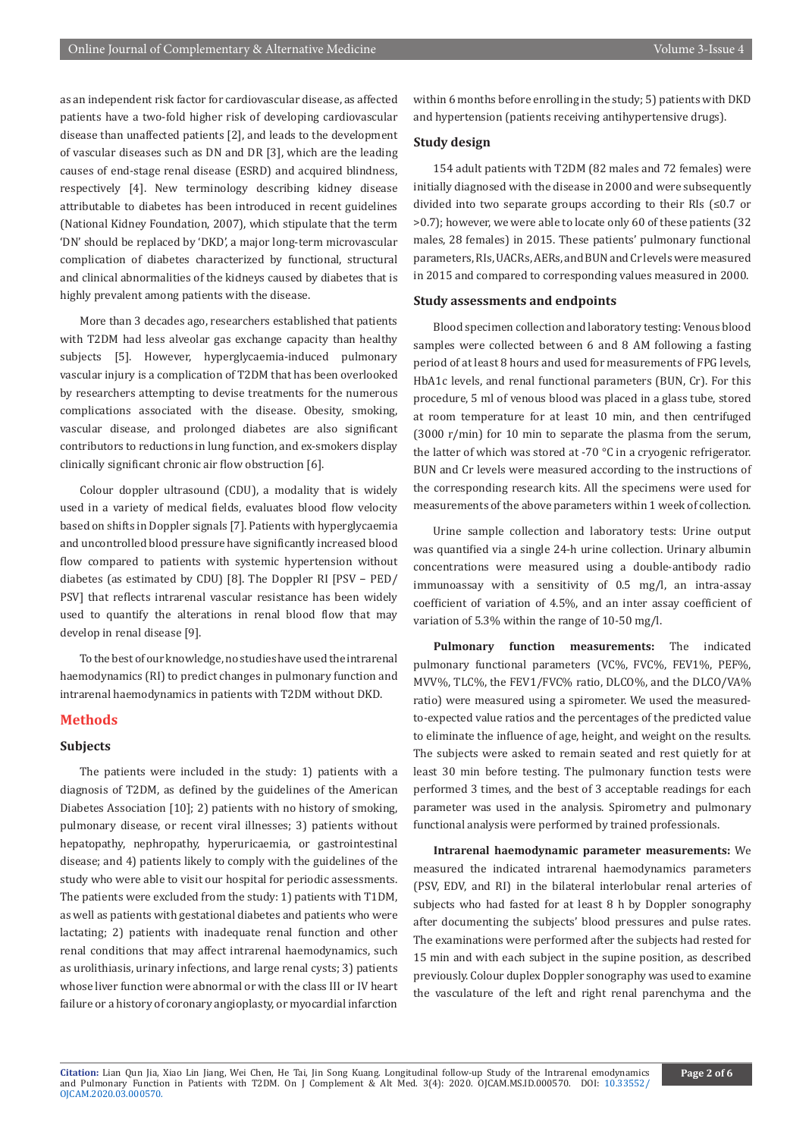as an independent risk factor for cardiovascular disease, as affected patients have a two-fold higher risk of developing cardiovascular disease than unaffected patients [2], and leads to the development of vascular diseases such as DN and DR [3], which are the leading causes of end-stage renal disease (ESRD) and acquired blindness, respectively [4]. New terminology describing kidney disease attributable to diabetes has been introduced in recent guidelines (National Kidney Foundation, 2007), which stipulate that the term 'DN' should be replaced by 'DKD', a major long-term microvascular complication of diabetes characterized by functional, structural and clinical abnormalities of the kidneys caused by diabetes that is highly prevalent among patients with the disease.

More than 3 decades ago, researchers established that patients with T2DM had less alveolar gas exchange capacity than healthy subjects [5]. However, hyperglycaemia-induced pulmonary vascular injury is a complication of T2DM that has been overlooked by researchers attempting to devise treatments for the numerous complications associated with the disease. Obesity, smoking, vascular disease, and prolonged diabetes are also significant contributors to reductions in lung function, and ex-smokers display clinically significant chronic air flow obstruction [6].

Colour doppler ultrasound (CDU), a modality that is widely used in a variety of medical fields, evaluates blood flow velocity based on shifts in Doppler signals [7]. Patients with hyperglycaemia and uncontrolled blood pressure have significantly increased blood flow compared to patients with systemic hypertension without diabetes (as estimated by CDU) [8]. The Doppler RI [PSV − PED/ PSV] that reflects intrarenal vascular resistance has been widely used to quantify the alterations in renal blood flow that may develop in renal disease [9].

To the best of our knowledge, no studies have used the intrarenal haemodynamics (RI) to predict changes in pulmonary function and intrarenal haemodynamics in patients with T2DM without DKD.

# **Methods**

# **Subjects**

The patients were included in the study: 1) patients with a diagnosis of T2DM, as defined by the guidelines of the American Diabetes Association [10]; 2) patients with no history of smoking, pulmonary disease, or recent viral illnesses; 3) patients without hepatopathy, nephropathy, hyperuricaemia, or gastrointestinal disease; and 4) patients likely to comply with the guidelines of the study who were able to visit our hospital for periodic assessments. The patients were excluded from the study: 1) patients with T1DM, as well as patients with gestational diabetes and patients who were lactating; 2) patients with inadequate renal function and other renal conditions that may affect intrarenal haemodynamics, such as urolithiasis, urinary infections, and large renal cysts; 3) patients whose liver function were abnormal or with the class III or IV heart failure or a history of coronary angioplasty, or myocardial infarction

within 6 months before enrolling in the study; 5) patients with DKD and hypertension (patients receiving antihypertensive drugs).

# **Study design**

154 adult patients with T2DM (82 males and 72 females) were initially diagnosed with the disease in 2000 and were subsequently divided into two separate groups according to their RIs (≤0.7 or >0.7); however, we were able to locate only 60 of these patients (32 males, 28 females) in 2015. These patients' pulmonary functional parameters, RIs, UACRs, AERs, and BUN and Cr levels were measured in 2015 and compared to corresponding values measured in 2000.

#### **Study assessments and endpoints**

Blood specimen collection and laboratory testing: Venous blood samples were collected between 6 and 8 AM following a fasting period of at least 8 hours and used for measurements of FPG levels, HbA1c levels, and renal functional parameters (BUN, Cr). For this procedure, 5 ml of venous blood was placed in a glass tube, stored at room temperature for at least 10 min, and then centrifuged (3000 r/min) for 10 min to separate the plasma from the serum, the latter of which was stored at -70 °C in a cryogenic refrigerator. BUN and Cr levels were measured according to the instructions of the corresponding research kits. All the specimens were used for measurements of the above parameters within 1 week of collection.

Urine sample collection and laboratory tests: Urine output was quantified via a single 24-h urine collection. Urinary albumin concentrations were measured using a double-antibody radio immunoassay with a sensitivity of 0.5 mg/l, an intra-assay coefficient of variation of 4.5%, and an inter assay coefficient of variation of 5.3% within the range of 10-50 mg/l.

**Pulmonary function measurements:** The indicated pulmonary functional parameters (VC%, FVC%, FEV1%, PEF%, MVV%, TLC%, the FEV1/FVC% ratio, DLCO%, and the DLCO/VA% ratio) were measured using a spirometer. We used the measuredto-expected value ratios and the percentages of the predicted value to eliminate the influence of age, height, and weight on the results. The subjects were asked to remain seated and rest quietly for at least 30 min before testing. The pulmonary function tests were performed 3 times, and the best of 3 acceptable readings for each parameter was used in the analysis. Spirometry and pulmonary functional analysis were performed by trained professionals.

**Intrarenal haemodynamic parameter measurements:** We measured the indicated intrarenal haemodynamics parameters (PSV, EDV, and RI) in the bilateral interlobular renal arteries of subjects who had fasted for at least 8 h by Doppler sonography after documenting the subjects' blood pressures and pulse rates. The examinations were performed after the subjects had rested for 15 min and with each subject in the supine position, as described previously. Colour duplex Doppler sonography was used to examine the vasculature of the left and right renal parenchyma and the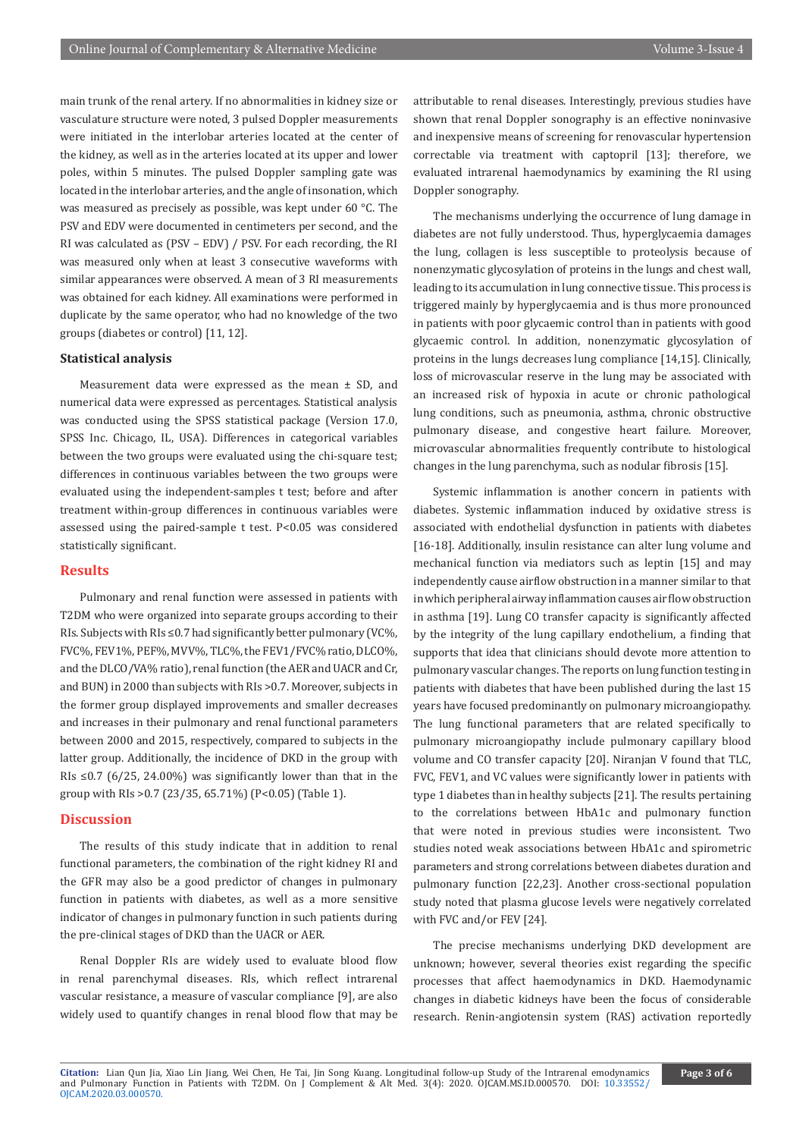main trunk of the renal artery. If no abnormalities in kidney size or vasculature structure were noted, 3 pulsed Doppler measurements were initiated in the interlobar arteries located at the center of the kidney, as well as in the arteries located at its upper and lower poles, within 5 minutes. The pulsed Doppler sampling gate was located in the interlobar arteries, and the angle of insonation, which was measured as precisely as possible, was kept under 60 °C. The PSV and EDV were documented in centimeters per second, and the RI was calculated as (PSV – EDV) / PSV. For each recording, the RI was measured only when at least 3 consecutive waveforms with similar appearances were observed. A mean of 3 RI measurements was obtained for each kidney. All examinations were performed in duplicate by the same operator, who had no knowledge of the two groups (diabetes or control) [11, 12].

#### **Statistical analysis**

Measurement data were expressed as the mean ± SD, and numerical data were expressed as percentages. Statistical analysis was conducted using the SPSS statistical package (Version 17.0, SPSS Inc. Chicago, IL, USA). Differences in categorical variables between the two groups were evaluated using the chi-square test; differences in continuous variables between the two groups were evaluated using the independent-samples t test; before and after treatment within-group differences in continuous variables were assessed using the paired-sample t test. P<0.05 was considered statistically significant.

# **Results**

Pulmonary and renal function were assessed in patients with T2DM who were organized into separate groups according to their RIs. Subjects with RIs ≤0.7 had significantly better pulmonary (VC%, FVC%, FEV1%, PEF%, MVV%, TLC%, the FEV1/FVC% ratio, DLCO%, and the DLCO/VA% ratio), renal function (the AER and UACR and Cr, and BUN) in 2000 than subjects with RIs >0.7. Moreover, subjects in the former group displayed improvements and smaller decreases and increases in their pulmonary and renal functional parameters between 2000 and 2015, respectively, compared to subjects in the latter group. Additionally, the incidence of DKD in the group with RIs  $\leq$  0.7 (6/25, 24.00%) was significantly lower than that in the group with RIs >0.7 (23/35, 65.71%) (P<0.05) (Table 1).

# **Discussion**

The results of this study indicate that in addition to renal functional parameters, the combination of the right kidney RI and the GFR may also be a good predictor of changes in pulmonary function in patients with diabetes, as well as a more sensitive indicator of changes in pulmonary function in such patients during the pre-clinical stages of DKD than the UACR or AER.

Renal Doppler RIs are widely used to evaluate blood flow in renal parenchymal diseases. RIs, which reflect intrarenal vascular resistance, a measure of vascular compliance [9], are also widely used to quantify changes in renal blood flow that may be attributable to renal diseases. Interestingly, previous studies have shown that renal Doppler sonography is an effective noninvasive and inexpensive means of screening for renovascular hypertension correctable via treatment with captopril [13]; therefore, we evaluated intrarenal haemodynamics by examining the RI using Doppler sonography.

The mechanisms underlying the occurrence of lung damage in diabetes are not fully understood. Thus, hyperglycaemia damages the lung, collagen is less susceptible to proteolysis because of nonenzymatic glycosylation of proteins in the lungs and chest wall, leading to its accumulation in lung connective tissue. This process is triggered mainly by hyperglycaemia and is thus more pronounced in patients with poor glycaemic control than in patients with good glycaemic control. In addition, nonenzymatic glycosylation of proteins in the lungs decreases lung compliance [14,15]. Clinically, loss of microvascular reserve in the lung may be associated with an increased risk of hypoxia in acute or chronic pathological lung conditions, such as pneumonia, asthma, chronic obstructive pulmonary disease, and congestive heart failure. Moreover, microvascular abnormalities frequently contribute to histological changes in the lung parenchyma, such as nodular fibrosis [15].

Systemic inflammation is another concern in patients with diabetes. Systemic inflammation induced by oxidative stress is associated with endothelial dysfunction in patients with diabetes [16-18]. Additionally, insulin resistance can alter lung volume and mechanical function via mediators such as leptin [15] and may independently cause airflow obstruction in a manner similar to that in which peripheral airway inflammation causes air flow obstruction in asthma [19]. Lung CO transfer capacity is significantly affected by the integrity of the lung capillary endothelium, a finding that supports that idea that clinicians should devote more attention to pulmonary vascular changes. The reports on lung function testing in patients with diabetes that have been published during the last 15 years have focused predominantly on pulmonary microangiopathy. The lung functional parameters that are related specifically to pulmonary microangiopathy include pulmonary capillary blood volume and CO transfer capacity [20]. Niranjan V found that TLC, FVC, FEV1, and VC values were significantly lower in patients with type 1 diabetes than in healthy subjects [21]. The results pertaining to the correlations between HbA1c and pulmonary function that were noted in previous studies were inconsistent. Two studies noted weak associations between HbA1c and spirometric parameters and strong correlations between diabetes duration and pulmonary function [22,23]. Another cross-sectional population study noted that plasma glucose levels were negatively correlated with FVC and/or FEV [24].

The precise mechanisms underlying DKD development are unknown; however, several theories exist regarding the specific processes that affect haemodynamics in DKD. Haemodynamic changes in diabetic kidneys have been the focus of considerable research. Renin-angiotensin system (RAS) activation reportedly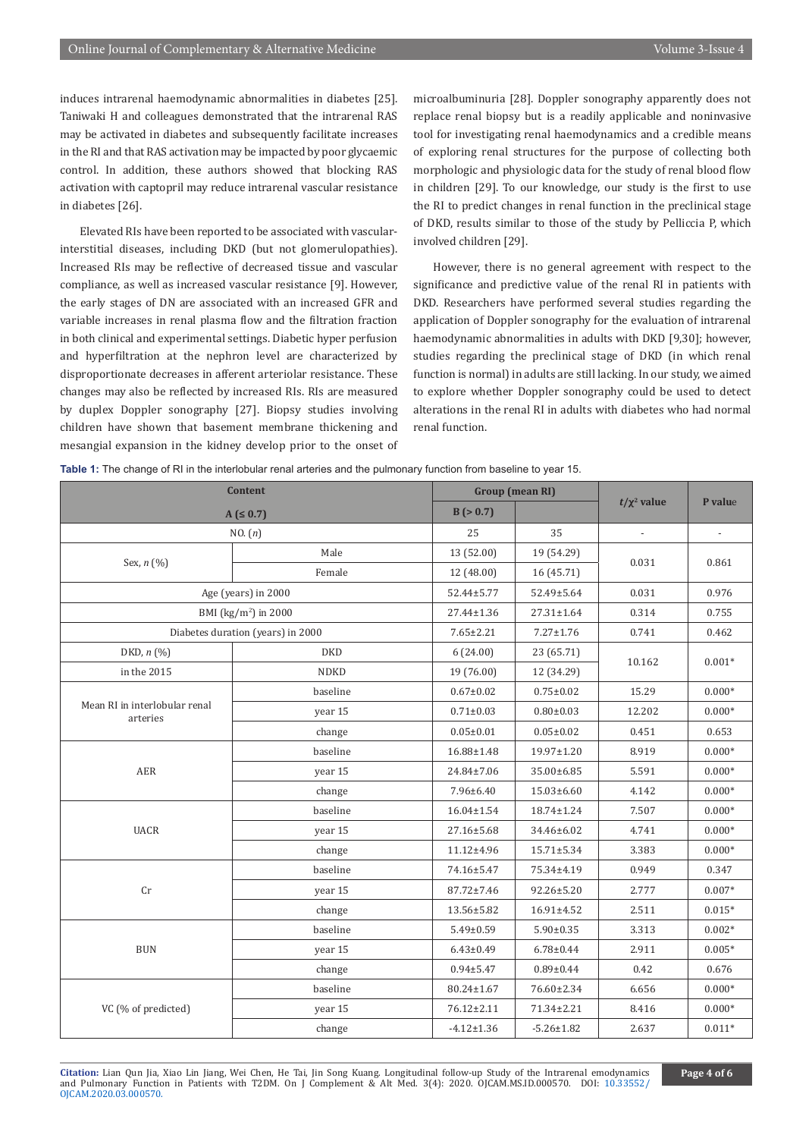induces intrarenal haemodynamic abnormalities in diabetes [25]. Taniwaki H and colleagues demonstrated that the intrarenal RAS may be activated in diabetes and subsequently facilitate increases in the RI and that RAS activation may be impacted by poor glycaemic control. In addition, these authors showed that blocking RAS activation with captopril may reduce intrarenal vascular resistance in diabetes [26].

Elevated RIs have been reported to be associated with vascularinterstitial diseases, including DKD (but not glomerulopathies). Increased RIs may be reflective of decreased tissue and vascular compliance, as well as increased vascular resistance [9]. However, the early stages of DN are associated with an increased GFR and variable increases in renal plasma flow and the filtration fraction in both clinical and experimental settings. Diabetic hyper perfusion and hyperfiltration at the nephron level are characterized by disproportionate decreases in afferent arteriolar resistance. These changes may also be reflected by increased RIs. RIs are measured by duplex Doppler sonography [27]. Biopsy studies involving children have shown that basement membrane thickening and mesangial expansion in the kidney develop prior to the onset of microalbuminuria [28]. Doppler sonography apparently does not replace renal biopsy but is a readily applicable and noninvasive tool for investigating renal haemodynamics and a credible means of exploring renal structures for the purpose of collecting both morphologic and physiologic data for the study of renal blood flow in children [29]. To our knowledge, our study is the first to use the RI to predict changes in renal function in the preclinical stage of DKD, results similar to those of the study by Pelliccia P, which involved children [29].

However, there is no general agreement with respect to the significance and predictive value of the renal RI in patients with DKD. Researchers have performed several studies regarding the application of Doppler sonography for the evaluation of intrarenal haemodynamic abnormalities in adults with DKD [9,30]; however, studies regarding the preclinical stage of DKD (in which renal function is normal) in adults are still lacking. In our study, we aimed to explore whether Doppler sonography could be used to detect alterations in the renal RI in adults with diabetes who had normal renal function.

| <b>Content</b><br>$A ( \le 0.7)$          |             | <b>Group</b> (mean RI) |                  |                  |          |
|-------------------------------------------|-------------|------------------------|------------------|------------------|----------|
|                                           |             | B (> 0.7)              |                  | $t/\chi^2$ value | P value  |
| NO. (n)                                   |             | 25                     | 35               |                  |          |
| Sex, n (%)                                | Male        | 13 (52.00)             | 19 (54.29)       | 0.031            | 0.861    |
|                                           | Female      | 12 (48.00)             | 16 (45.71)       |                  |          |
| Age (years) in 2000                       |             | 52.44±5.77             | 52.49±5.64       | 0.031            | 0.976    |
| BMI (kg/m <sup>2</sup> ) in 2000          |             | 27.44±1.36             | 27.31±1.64       | 0.314            | 0.755    |
| Diabetes duration (years) in 2000         |             | $7.65 \pm 2.21$        | $7.27 \pm 1.76$  | 0.741            | 0.462    |
| DKD, $n$ $(\%)$                           | <b>DKD</b>  | 6(24.00)               | 23 (65.71)       | 10.162           | $0.001*$ |
| in the 2015                               | <b>NDKD</b> | 19 (76.00)             | 12 (34.29)       |                  |          |
| Mean RI in interlobular renal<br>arteries | baseline    | $0.67 \pm 0.02$        | $0.75 \pm 0.02$  | 15.29            | $0.000*$ |
|                                           | year 15     | $0.71 \pm 0.03$        | $0.80 \pm 0.03$  | 12.202           | $0.000*$ |
|                                           | change      | $0.05 \pm 0.01$        | $0.05 \pm 0.02$  | 0.451            | 0.653    |
| AER                                       | baseline    | 16.88±1.48             | 19.97±1.20       | 8.919            | $0.000*$ |
|                                           | year 15     | 24.84±7.06             | 35.00±6.85       | 5.591            | $0.000*$ |
|                                           | change      | 7.96±6.40              | 15.03±6.60       | 4.142            | $0.000*$ |
| <b>UACR</b>                               | baseline    | $16.04 \pm 1.54$       | 18.74±1.24       | 7.507            | $0.000*$ |
|                                           | year 15     | 27.16±5.68             | 34.46±6.02       | 4.741            | $0.000*$ |
|                                           | change      | 11.12±4.96             | $15.71 \pm 5.34$ | 3.383            | $0.000*$ |
| Cr                                        | baseline    | 74.16±5.47             | 75.34±4.19       | 0.949            | 0.347    |
|                                           | year 15     | 87.72±7.46             | 92.26±5.20       | 2.777            | $0.007*$ |
|                                           | change      | 13.56±5.82             | 16.91±4.52       | 2.511            | $0.015*$ |
| $\rm BUN$                                 | baseline    | $5.49 \pm 0.59$        | $5.90 \pm 0.35$  | 3.313            | $0.002*$ |
|                                           | year 15     | $6.43 \pm 0.49$        | $6.78 \pm 0.44$  | 2.911            | $0.005*$ |
|                                           | change      | $0.94 \pm 5.47$        | $0.89 \pm 0.44$  | 0.42             | 0.676    |
| VC (% of predicted)                       | baseline    | 80.24±1.67             | 76.60±2.34       | 6.656            | $0.000*$ |
|                                           | year 15     | 76.12±2.11             | 71.34±2.21       | 8.416            | $0.000*$ |
|                                           | change      | $-4.12 \pm 1.36$       | $-5.26 \pm 1.82$ | 2.637            | $0.011*$ |

**Table 1:** The change of RI in the interlobular renal arteries and the pulmonary function from baseline to year 15.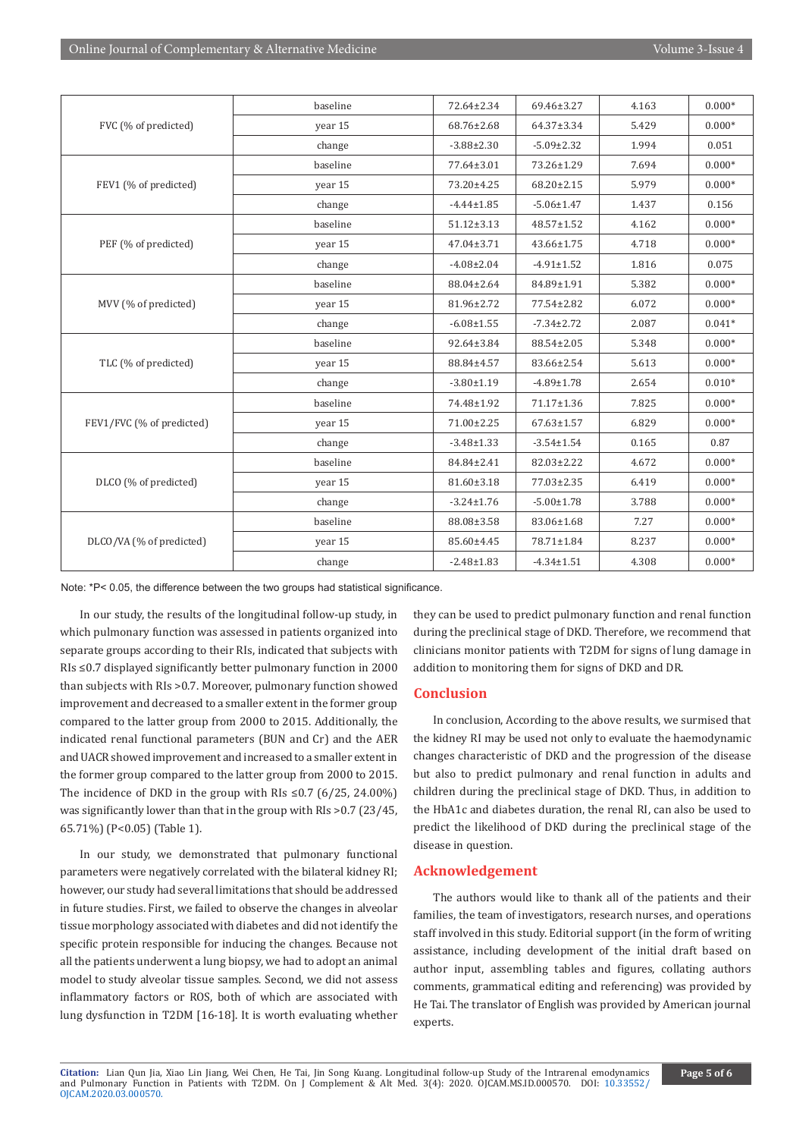| FVC (% of predicted)      | baseline | 72.64±2.34       | 69.46±3.27       | 4.163 | $0.000*$ |
|---------------------------|----------|------------------|------------------|-------|----------|
|                           | year 15  | 68.76±2.68       | 64.37±3.34       | 5.429 | $0.000*$ |
|                           | change   | $-3.88 \pm 2.30$ | $-5.09 \pm 2.32$ | 1.994 | 0.051    |
| FEV1 (% of predicted)     | baseline | 77.64±3.01       | 73.26±1.29       | 7.694 | $0.000*$ |
|                           | year 15  | 73.20±4.25       | $68.20 \pm 2.15$ | 5.979 | $0.000*$ |
|                           | change   | $-4.44 \pm 1.85$ | $-5.06 \pm 1.47$ | 1.437 | 0.156    |
| PEF (% of predicted)      | baseline | $51.12 \pm 3.13$ | 48.57±1.52       | 4.162 | $0.000*$ |
|                           | year 15  | $47.04 \pm 3.71$ | 43.66±1.75       | 4.718 | $0.000*$ |
|                           | change   | $-4.08 \pm 2.04$ | $-4.91 \pm 1.52$ | 1.816 | 0.075    |
| MVV (% of predicted)      | baseline | 88.04±2.64       | 84.89±1.91       | 5.382 | $0.000*$ |
|                           | year 15  | 81.96±2.72       | 77.54±2.82       | 6.072 | $0.000*$ |
|                           | change   | $-6.08 \pm 1.55$ | $-7.34 \pm 2.72$ | 2.087 | $0.041*$ |
| TLC (% of predicted)      | baseline | 92.64±3.84       | 88.54±2.05       | 5.348 | $0.000*$ |
|                           | year 15  | 88.84±4.57       | 83.66±2.54       | 5.613 | $0.000*$ |
|                           | change   | $-3.80 \pm 1.19$ | $-4.89 \pm 1.78$ | 2.654 | $0.010*$ |
| FEV1/FVC (% of predicted) | baseline | 74.48±1.92       | 71.17±1.36       | 7.825 | $0.000*$ |
|                           | year 15  | 71.00±2.25       | $67.63 \pm 1.57$ | 6.829 | $0.000*$ |
|                           | change   | $-3.48 \pm 1.33$ | $-3.54 \pm 1.54$ | 0.165 | 0.87     |
| DLCO (% of predicted)     | baseline | 84.84±2.41       | 82.03±2.22       | 4.672 | $0.000*$ |
|                           | year 15  | 81.60±3.18       | 77.03±2.35       | 6.419 | $0.000*$ |
|                           | change   | $-3.24 \pm 1.76$ | $-5.00 \pm 1.78$ | 3.788 | $0.000*$ |
| DLCO/VA (% of predicted)  | baseline | 88.08±3.58       | 83.06±1.68       | 7.27  | $0.000*$ |
|                           | year 15  | 85.60±4.45       | 78.71±1.84       | 8.237 | $0.000*$ |
|                           | change   | $-2.48 \pm 1.83$ | $-4.34 \pm 1.51$ | 4.308 | $0.000*$ |

Note: \*P< 0.05, the difference between the two groups had statistical significance.

In our study, the results of the longitudinal follow-up study, in which pulmonary function was assessed in patients organized into separate groups according to their RIs, indicated that subjects with RIs ≤0.7 displayed significantly better pulmonary function in 2000 than subjects with RIs >0.7. Moreover, pulmonary function showed improvement and decreased to a smaller extent in the former group compared to the latter group from 2000 to 2015. Additionally, the indicated renal functional parameters (BUN and Cr) and the AER and UACR showed improvement and increased to a smaller extent in the former group compared to the latter group from 2000 to 2015. The incidence of DKD in the group with RIs ≤0.7 (6/25, 24.00%) was significantly lower than that in the group with RIs >0.7 (23/45, 65.71%) (P<0.05) (Table 1).

In our study, we demonstrated that pulmonary functional parameters were negatively correlated with the bilateral kidney RI; however, our study had several limitations that should be addressed in future studies. First, we failed to observe the changes in alveolar tissue morphology associated with diabetes and did not identify the specific protein responsible for inducing the changes. Because not all the patients underwent a lung biopsy, we had to adopt an animal model to study alveolar tissue samples. Second, we did not assess inflammatory factors or ROS, both of which are associated with lung dysfunction in T2DM [16-18]. It is worth evaluating whether

they can be used to predict pulmonary function and renal function during the preclinical stage of DKD. Therefore, we recommend that clinicians monitor patients with T2DM for signs of lung damage in addition to monitoring them for signs of DKD and DR.

# **Conclusion**

In conclusion, According to the above results, we surmised that the kidney RI may be used not only to evaluate the haemodynamic changes characteristic of DKD and the progression of the disease but also to predict pulmonary and renal function in adults and children during the preclinical stage of DKD. Thus, in addition to the HbA1c and diabetes duration, the renal RI, can also be used to predict the likelihood of DKD during the preclinical stage of the disease in question.

# **Acknowledgement**

The authors would like to thank all of the patients and their families, the team of investigators, research nurses, and operations staff involved in this study. Editorial support (in the form of writing assistance, including development of the initial draft based on author input, assembling tables and figures, collating authors comments, grammatical editing and referencing) was provided by He Tai. The translator of English was provided by American journal experts.

**Citation:** Lian Qun Jia, Xiao Lin Jiang, Wei Chen, He Tai, Jin Song Kuang. Longitudinal follow-up Study of the Intrarenal emodynamics and Pulmonary Function in Patients with T2DM. On J Complement & Alt Med. 3(4): 2020. OJCAM.MS.ID.000570. DOI: [10.33552/](http://dx.doi.org/10.33552/OJCAM.2020.03.000570) [OJCAM.2020.03.000570](http://dx.doi.org/10.33552/OJCAM.2020.03.000570).